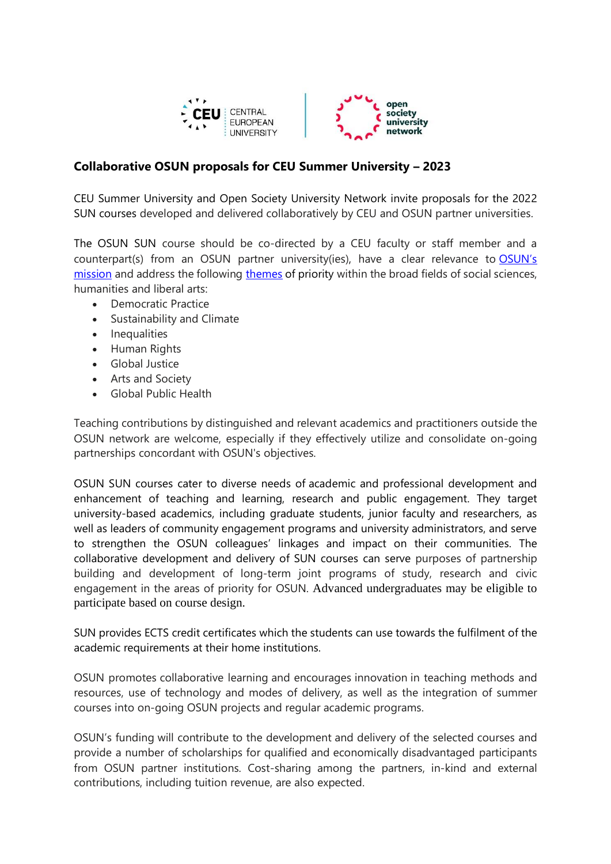

## **Collaborative OSUN proposals for CEU Summer University – 2023**

CEU Summer University and Open Society University Network invite proposals for the 2022 SUN courses developed and delivered collaboratively by CEU and OSUN partner universities.

The OSUN SUN course should be co-directed by a CEU faculty or staff member and a counterpart(s) from an OSUN partner university(ies), have a clear relevance to [OSUN's](https://www.ceu.edu/osun) [mission](https://www.ceu.edu/osun) and address the following [themes](https://opensocietyuniversitynetwork.org/about/themes/) of priority within the broad fields of social sciences, humanities and liberal arts:

- Democratic Practice
- Sustainability and Climate
- Inequalities
- Human Rights
- Global Justice
- Arts and Society
- Global Public Health

Teaching contributions by distinguished and relevant academics and practitioners outside the OSUN network are welcome, especially if they effectively utilize and consolidate on-going partnerships concordant with OSUN's objectives.

OSUN SUN courses cater to diverse needs of academic and professional development and enhancement of teaching and learning, research and public engagement. They target university-based academics, including graduate students, junior faculty and researchers, as well as leaders of community engagement programs and university administrators, and serve to strengthen the OSUN colleagues' linkages and impact on their communities. The collaborative development and delivery of SUN courses can serve purposes of partnership building and development of long-term joint programs of study, research and civic engagement in the areas of priority for OSUN. Advanced undergraduates may be eligible to participate based on course design.

SUN provides ECTS credit certificates which the students can use towards the fulfilment of the academic requirements at their home institutions.

OSUN promotes collaborative learning and encourages innovation in teaching methods and resources, use of technology and modes of delivery, as well as the integration of summer courses into on-going OSUN projects and regular academic programs.

OSUN's funding will contribute to the development and delivery of the selected courses and provide a number of scholarships for qualified and economically disadvantaged participants from OSUN partner institutions. Cost-sharing among the partners, in-kind and external contributions, including tuition revenue, are also expected.